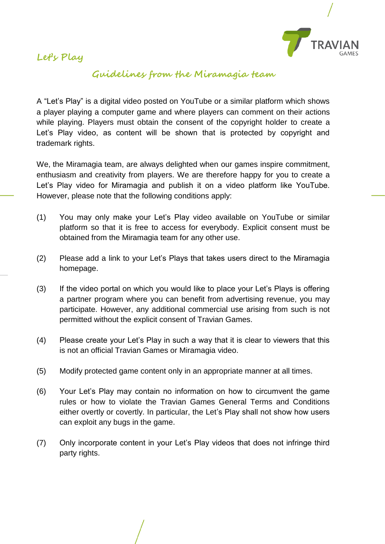

## **Let's Play**

## **Guidelines from the Miramagia team**

A "Let's Play" is a digital video posted on YouTube or a similar platform which shows a player playing a computer game and where players can comment on their actions while playing. Players must obtain the consent of the copyright holder to create a Let's Play video, as content will be shown that is protected by copyright and trademark rights.

We, the Miramagia team, are always delighted when our games inspire commitment, enthusiasm and creativity from players. We are therefore happy for you to create a Let's Play video for Miramagia and publish it on a video platform like YouTube. However, please note that the following conditions apply:

- (1) You may only make your Let's Play video available on YouTube or similar platform so that it is free to access for everybody. Explicit consent must be obtained from the Miramagia team for any other use.
- (2) Please add a link to your Let's Plays that takes users direct to the Miramagia homepage.
- (3) If the video portal on which you would like to place your Let's Plays is offering a partner program where you can benefit from advertising revenue, you may participate. However, any additional commercial use arising from such is not permitted without the explicit consent of Travian Games.
- (4) Please create your Let's Play in such a way that it is clear to viewers that this is not an official Travian Games or Miramagia video.
- (5) Modify protected game content only in an appropriate manner at all times.
- (6) Your Let's Play may contain no information on how to circumvent the game rules or how to violate the Travian Games General Terms and Conditions either overtly or covertly. In particular, the Let's Play shall not show how users can exploit any bugs in the game.
- (7) Only incorporate content in your Let's Play videos that does not infringe third party rights.